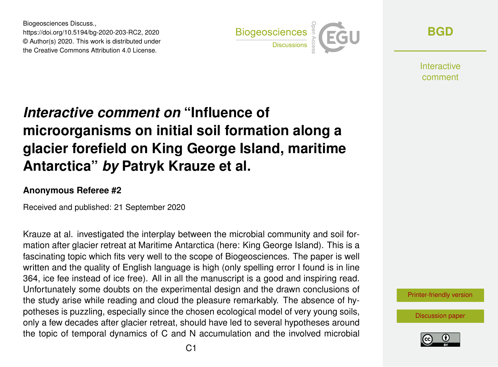Biogeosciences Discuss., https://doi.org/10.5194/bg-2020-203-RC2, 2020 © Author(s) 2020. This work is distributed under the Creative Commons Attribution 4.0 License.



**[BGD](https://bg.copernicus.org/preprints/)**

**Interactive** comment

## *Interactive comment on* **"Influence of microorganisms on initial soil formation along a glacier forefield on King George Island, maritime Antarctica"** *by* **Patryk Krauze et al.**

## **Anonymous Referee #2**

Received and published: 21 September 2020

Krauze at al. investigated the interplay between the microbial community and soil formation after glacier retreat at Maritime Antarctica (here: King George Island). This is a fascinating topic which fits very well to the scope of Biogeosciences. The paper is well written and the quality of English language is high (only spelling error I found is in line 364, ice fee instead of ice free). All in all the manuscript is a good and inspiring read. Unfortunately some doubts on the experimental design and the drawn conclusions of the study arise while reading and cloud the pleasure remarkably. The absence of hypotheses is puzzling, especially since the chosen ecological model of very young soils, only a few decades after glacier retreat, should have led to several hypotheses around the topic of temporal dynamics of C and N accumulation and the involved microbial

[Printer-friendly version](https://bg.copernicus.org/preprints/bg-2020-203/bg-2020-203-RC2-print.pdf)

[Discussion paper](https://bg.copernicus.org/preprints/bg-2020-203)

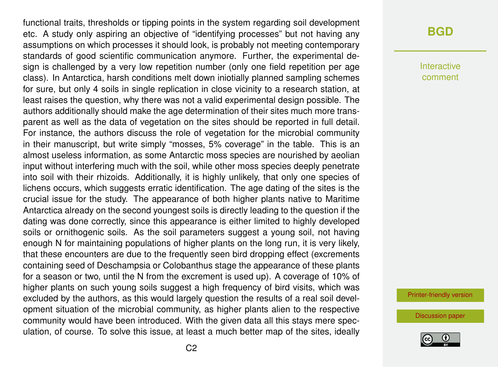functional traits, thresholds or tipping points in the system regarding soil development etc. A study only aspiring an objective of "identifying processes" but not having any assumptions on which processes it should look, is probably not meeting contemporary standards of good scientific communication anymore. Further, the experimental design is challenged by a very low repetition number (only one field repetition per age class). In Antarctica, harsh conditions melt down iniotially planned sampling schemes for sure, but only 4 soils in single replication in close vicinity to a research station, at least raises the question, why there was not a valid experimental design possible. The authors additionally should make the age determination of their sites much more transparent as well as the data of vegetation on the sites should be reported in full detail. For instance, the authors discuss the role of vegetation for the microbial community in their manuscript, but write simply "mosses, 5% coverage" in the table. This is an almost useless information, as some Antarctic moss species are nourished by aeolian input without interfering much with the soil, while other moss species deeply penetrate into soil with their rhizoids. Additionally, it is highly unlikely, that only one species of lichens occurs, which suggests erratic identification. The age dating of the sites is the crucial issue for the study. The appearance of both higher plants native to Maritime Antarctica already on the second youngest soils is directly leading to the question if the dating was done correctly, since this appearance is either limited to highly developed soils or ornithogenic soils. As the soil parameters suggest a young soil, not having enough N for maintaining populations of higher plants on the long run, it is very likely, that these encounters are due to the frequently seen bird dropping effect (excrements containing seed of Deschampsia or Colobanthus stage the appearance of these plants for a season or two, until the N from the excrement is used up). A coverage of 10% of higher plants on such young soils suggest a high frequency of bird visits, which was excluded by the authors, as this would largely question the results of a real soil development situation of the microbial community, as higher plants alien to the respective community would have been introduced. With the given data all this stays mere speculation, of course. To solve this issue, at least a much better map of the sites, ideally

## **[BGD](https://bg.copernicus.org/preprints/)**

Interactive comment

[Printer-friendly version](https://bg.copernicus.org/preprints/bg-2020-203/bg-2020-203-RC2-print.pdf)

[Discussion paper](https://bg.copernicus.org/preprints/bg-2020-203)